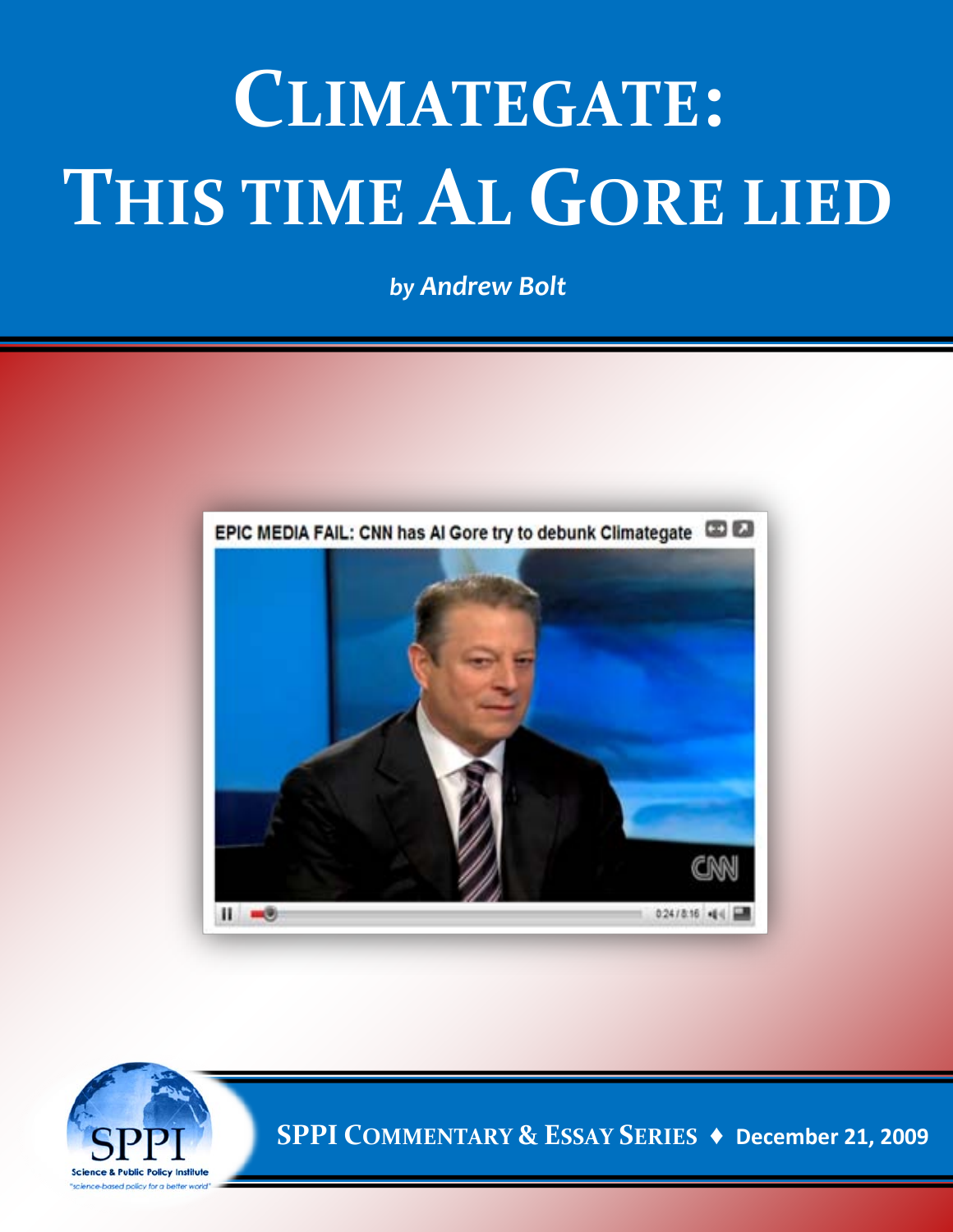## **CLIMATEGATE: THIS TIME AL GORE LIED**

*by Andrew Bolt*





**SPPI COMMENTARY & ESSAY SERIES ♦ December 21, 2009**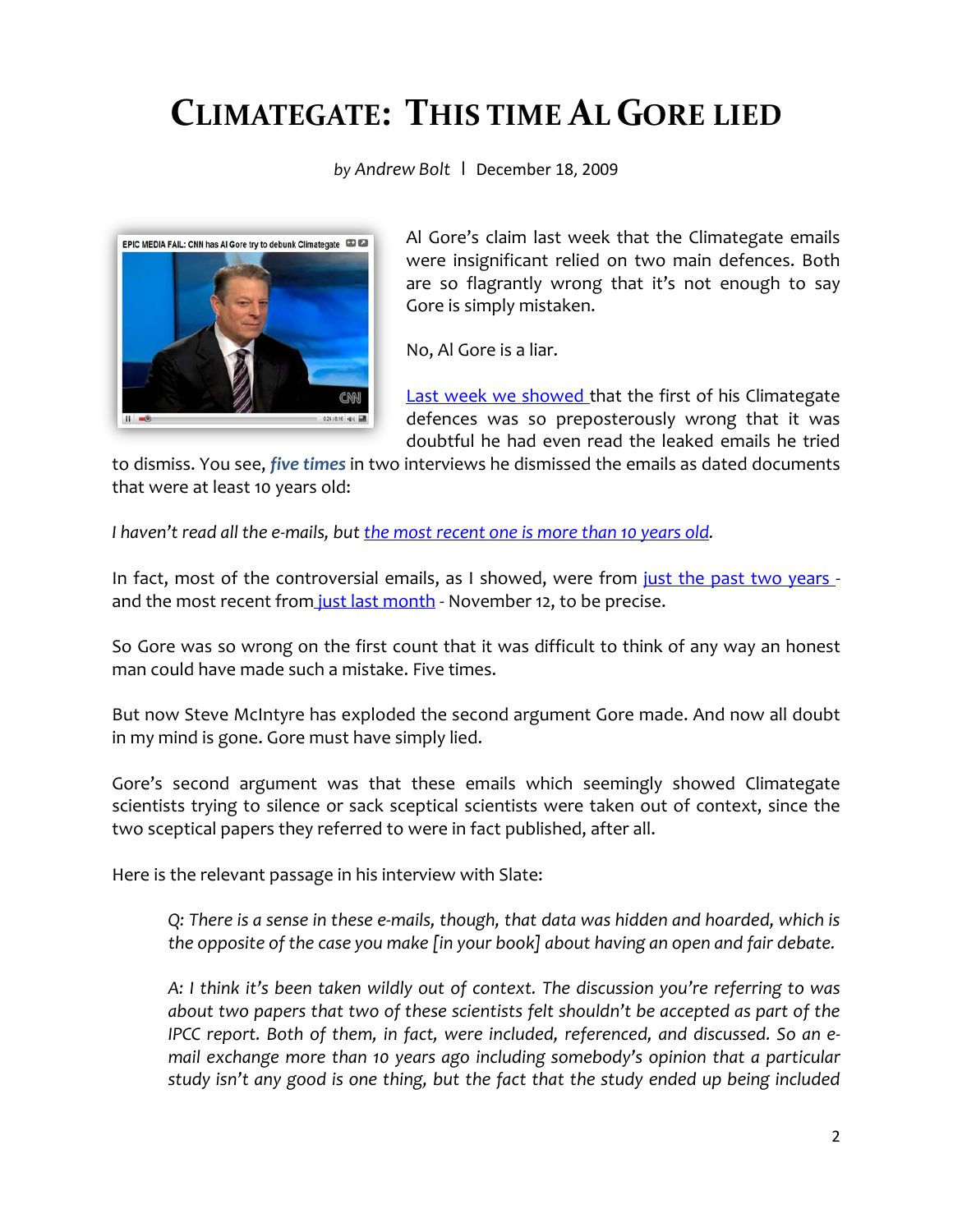## **CLIMATEGATE: THIS TIME AL GORE LIED**

*by Andrew Bolt* **|** December 18, 2009



Al Gore's claim last week that the Climategate emails were insignificant relied on two main defences. Both are so flagrantly wrong that it's not enough to say Gore is simply mistaken.

No, Al Gore is a liar.

[Last week we showed t](http://blogs.news.com.au/heraldsun/andrewbolt/index.php/heraldsun/comments/climategate_gore_falsifies_the_record)hat the first of his Climategate defences was so preposterously wrong that it was doubtful he had even read the leaked emails he tried

to dismiss. You see, *[five times](http://blogs.news.com.au/heraldsun/andrewbolt/index.php/heraldsun/comments/column_gore_is_grossly_careless_or_a_barefaced_liar)* in two interviews he dismissed the emails as dated documents that were at least 10 years old:

*I haven't read all the e-mails, but [the most recent one is more than 10 years old.](http://wattsupwiththat.com/2009/12/08/al-gore-cant-tell-time-thinks-most-recent-climategate-email-is-more-than-10-years-old/)*

In fact, most of the controversial emails, as I showed, were from [just the past two years](http://blogs.news.com.au/heraldsun/andrewbolt/index.php/heraldsun/comments/climategate_which_one_blew_the_whistle/)  and the most recent from [just last month](http://www.free-the-memes.net/writings/warming3/ClimateGate2.html) - November 12, to be precise.

So Gore was so wrong on the first count that it was difficult to think of any way an honest man could have made such a mistake. Five times.

But now Steve McIntyre has exploded the second argument Gore made. And now all doubt in my mind is gone. Gore must have simply lied.

Gore's second argument was that these emails which seemingly showed Climategate scientists trying to silence or sack sceptical scientists were taken out of context, since the two sceptical papers they referred to were in fact published, after all.

Here is the relevant passage in his interview with Slate:

*Q: There is a sense in these e-mails, though, that data was hidden and hoarded, which is the opposite of the case you make [in your book] about having an open and fair debate.* 

*A: I think it's been taken wildly out of context. The discussion you're referring to was about two papers that two of these scientists felt shouldn't be accepted as part of the IPCC report. Both of them, in fact, were included, referenced, and discussed. So an e*mail exchange more than 10 years ago including somebody's opinion that a particular *study isn't any good is one thing, but the fact that the study ended up being included*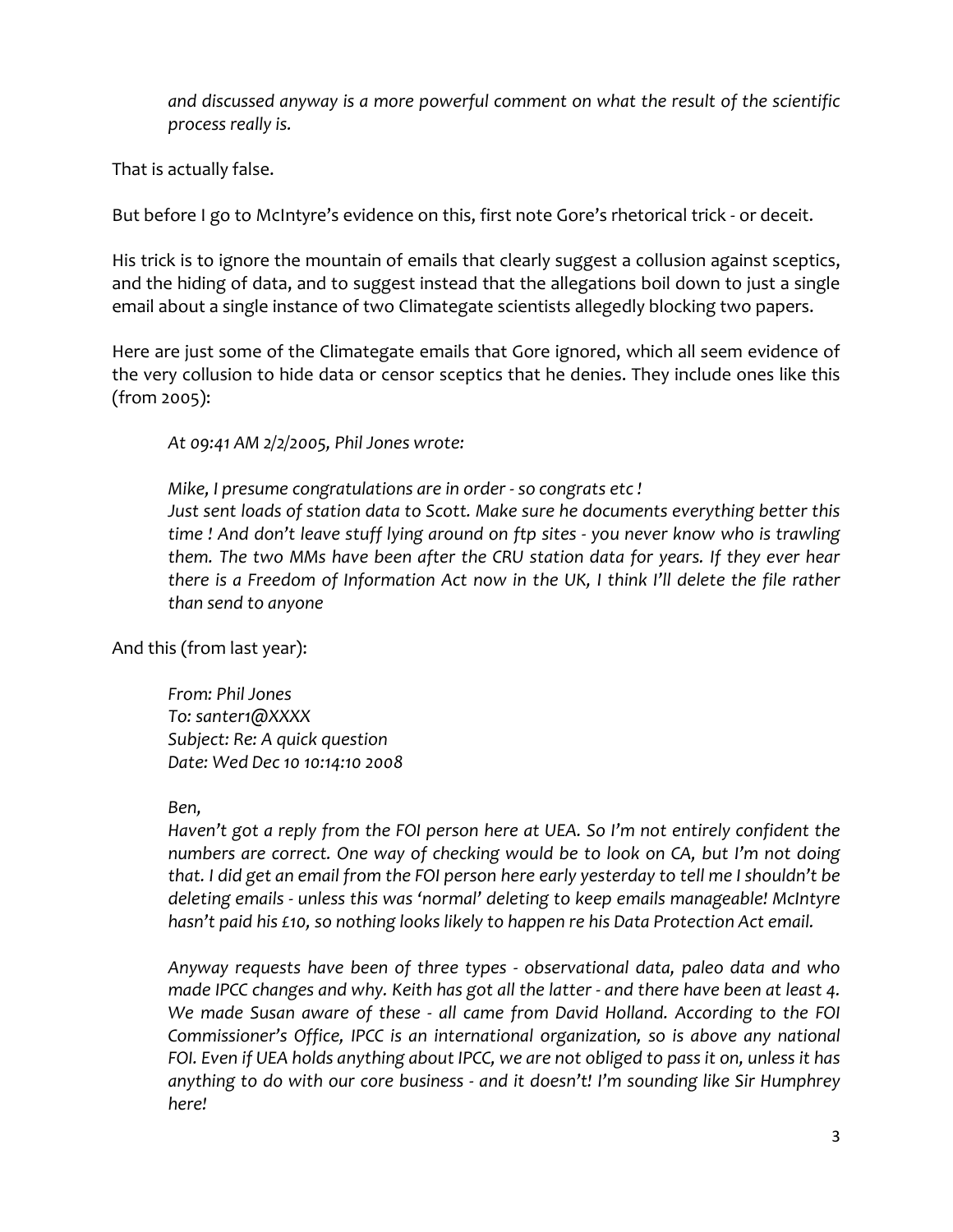*and discussed anyway is a more powerful comment on what the result of the scientific process really is.*

That is actually false.

But before I go to McIntyre's evidence on this, first note Gore's rhetorical trick - or deceit.

His trick is to ignore the mountain of emails that clearly suggest a collusion against sceptics, and the hiding of data, and to suggest instead that the allegations boil down to just a single email about a single instance of two Climategate scientists allegedly blocking two papers.

Here are just some of the Climategate emails that Gore ignored, which all seem evidence of the very collusion to hide data or censor sceptics that he denies. They include ones like this (from 2005):

*At 09:41 AM 2/2/2005, Phil Jones wrote:* 

*Mike, I presume congratulations are in order - so congrats etc ! Just sent loads of station data to Scott. Make sure he documents everything better this time ! And don't leave stuff lying around on ftp sites - you never know who is trawling them. The two MMs have been after the CRU station data for years. If they ever hear there is a Freedom of Information Act now in the UK, I think I'll delete the file rather than send to anyone*

And this (from last year):

*From: Phil Jones To: santer1@XXXX Subject: Re: A quick question Date: Wed Dec 10 10:14:10 2008* 

## *Ben,*

*Haven't got a reply from the FOI person here at UEA. So I'm not entirely confident the numbers are correct. One way of checking would be to look on CA, but I'm not doing that. I did get an email from the FOI person here early yesterday to tell me I shouldn't be deleting emails - unless this was 'normal' deleting to keep emails manageable! McIntyre hasn't paid his £10, so nothing looks likely to happen re his Data Protection Act email.* 

*Anyway requests have been of three types - observational data, paleo data and who made IPCC changes and why. Keith has got all the latter - and there have been at least 4. We made Susan aware of these - all came from David Holland. According to the FOI Commissioner's Office, IPCC is an international organization, so is above any national FOI. Even if UEA holds anything about IPCC, we are not obliged to pass it on, unless it has anything to do with our core business - and it doesn't! I'm sounding like Sir Humphrey here!*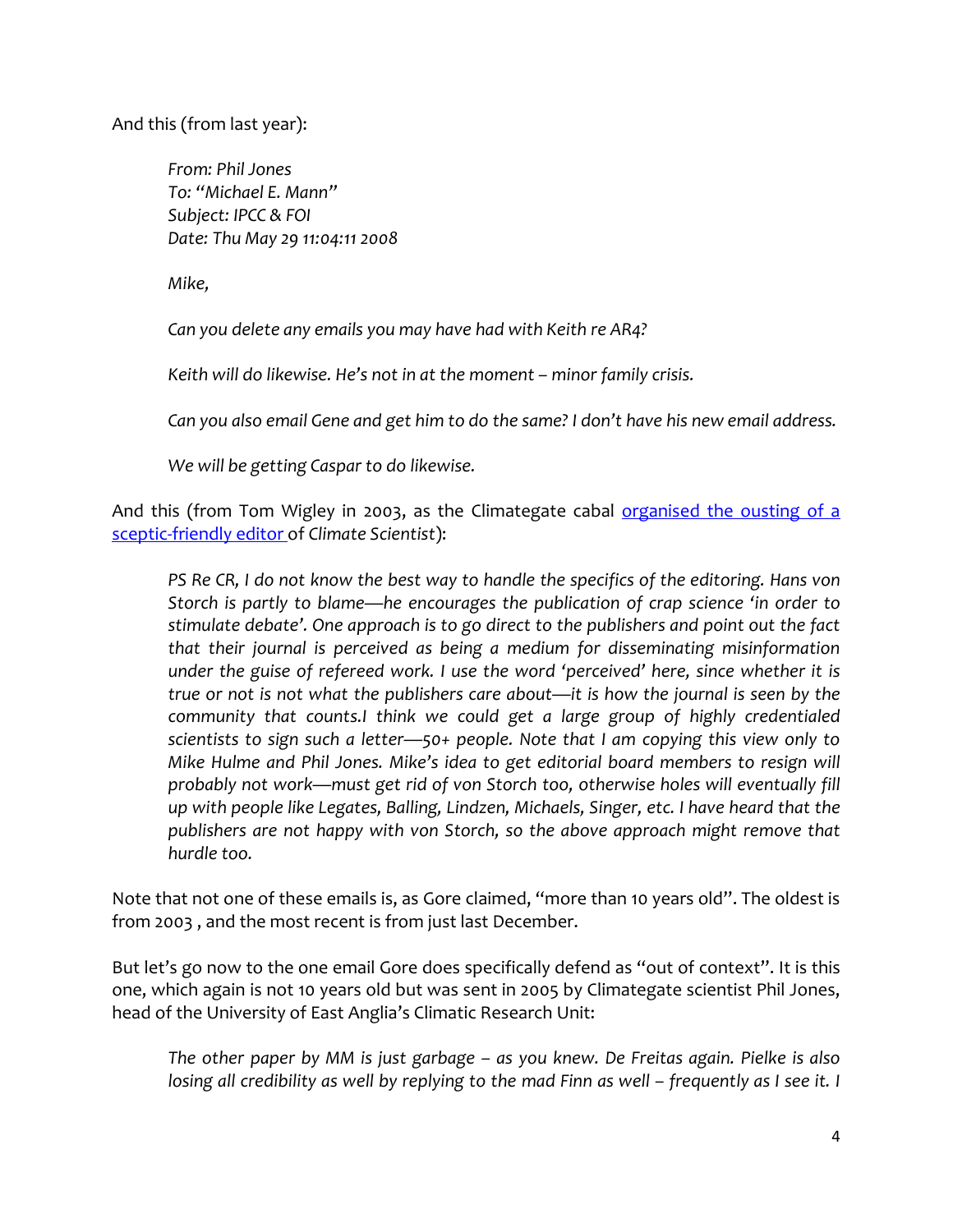And this (from last year):

*From: Phil Jones To: "Michael E. Mann" Subject: IPCC & FOI Date: Thu May 29 11:04:11 2008* 

*Mike,* 

*Can you delete any emails you may have had with Keith re AR4?* 

*Keith will do likewise. He's not in at the moment – minor family crisis.* 

*Can you also email Gene and get him to do the same? I don't have his new email address.* 

*We will be getting Caspar to do likewise.* 

And this (from Tom Wigley in 2003, as the Climategate cabal organised the ousting of a [sceptic-friendly editor o](http://blogs.news.com.au/heraldsun/andrewbolt/index.php/heraldsun/comments/the_global_warming_conspiracy_its_silencing_of_the_sceptics/)f *Climate Scientist*):

*PS Re CR, I do not know the best way to handle the specifics of the editoring. Hans von Storch is partly to blame—he encourages the publication of crap science 'in order to stimulate debate'. One approach is to go direct to the publishers and point out the fact that their journal is perceived as being a medium for disseminating misinformation under the guise of refereed work. I use the word 'perceived' here, since whether it is true or not is not what the publishers care about—it is how the journal is seen by the community that counts.I think we could get a large group of highly credentialed scientists to sign such a letter—50+ people. Note that I am copying this view only to Mike Hulme and Phil Jones. Mike's idea to get editorial board members to resign will probably not work—must get rid of von Storch too, otherwise holes will eventually fill up with people like Legates, Balling, Lindzen, Michaels, Singer, etc. I have heard that the publishers are not happy with von Storch, so the above approach might remove that hurdle too.*

Note that not one of these emails is, as Gore claimed, "more than 10 years old". The oldest is from 2003 , and the most recent is from just last December.

But let's go now to the one email Gore does specifically defend as "out of context". It is this one, which again is not 10 years old but was sent in 2005 by Climategate scientist Phil Jones, head of the University of East Anglia's Climatic Research Unit:

*The other paper by MM is just garbage – as you knew. De Freitas again. Pielke is also losing all credibility as well by replying to the mad Finn as well – frequently as I see it. I*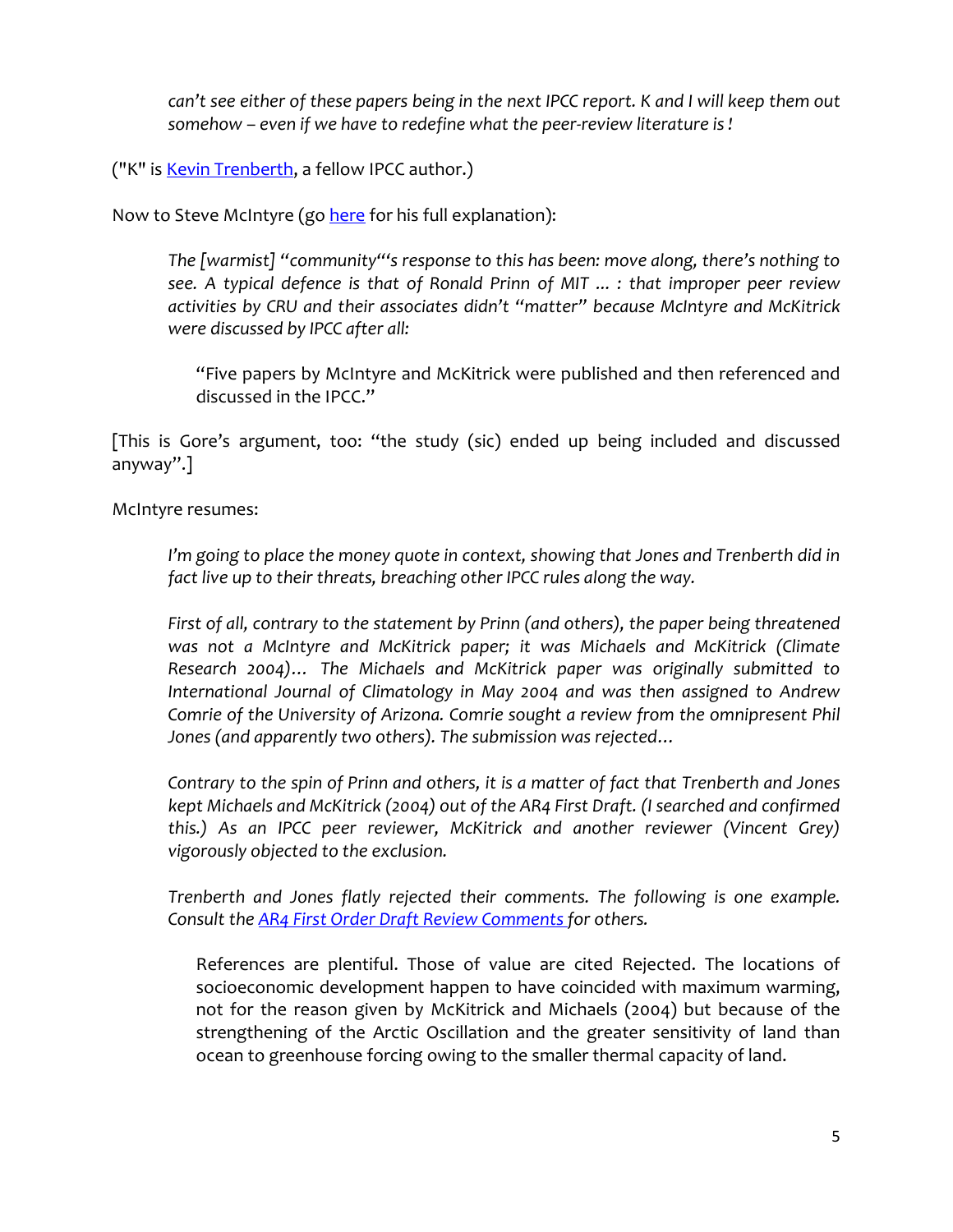*can't see either of these papers being in the next IPCC report. K and I will keep them out somehow – even if we have to redefine what the peer-review literature is !* 

("K" is **Kevin Trenberth**, a fellow IPCC author.)

Now to Steve McIntyre (g[o here](http://climateaudit.org/2009/12/17/climategatekeeping-2/#more-9603) for his full explanation):

*The [warmist] "community"'s response to this has been: move along, there's nothing to see. A typical defence is that of Ronald Prinn of MIT ... : that improper peer review activities by CRU and their associates didn't "matter" because McIntyre and McKitrick were discussed by IPCC after all:* 

"Five papers by McIntyre and McKitrick were published and then referenced and discussed in the IPCC."

[This is Gore's argument, too: "the study (sic) ended up being included and discussed anyway".]

McIntyre resumes:

*I'm going to place the money quote in context, showing that Jones and Trenberth did in fact live up to their threats, breaching other IPCC rules along the way.* 

*First of all, contrary to the statement by Prinn (and others), the paper being threatened was not a McIntyre and McKitrick paper; it was Michaels and McKitrick (Climate Research 2004)… The Michaels and McKitrick paper was originally submitted to International Journal of Climatology in May 2004 and was then assigned to Andrew Comrie of the University of Arizona. Comrie sought a review from the omnipresent Phil Jones (and apparently two others). The submission was rejected…* 

*Contrary to the spin of Prinn and others, it is a matter of fact that Trenberth and Jones kept Michaels and McKitrick (2004) out of the AR4 First Draft. (I searched and confirmed this.) As an IPCC peer reviewer, McKitrick and another reviewer (Vincent Grey) vigorously objected to the exclusion.* 

*Trenberth and Jones flatly rejected their comments. The following is one example. Consult the [AR4 First Order Draft Review Comments f](http://www.climateaudit.info/pdf/ipcc/fod/AR4WG1_Ch03_FOR_CommentResponses_EDist.pdf)or others.*

References are plentiful. Those of value are cited Rejected. The locations of socioeconomic development happen to have coincided with maximum warming, not for the reason given by McKitrick and Michaels (2004) but because of the strengthening of the Arctic Oscillation and the greater sensitivity of land than ocean to greenhouse forcing owing to the smaller thermal capacity of land.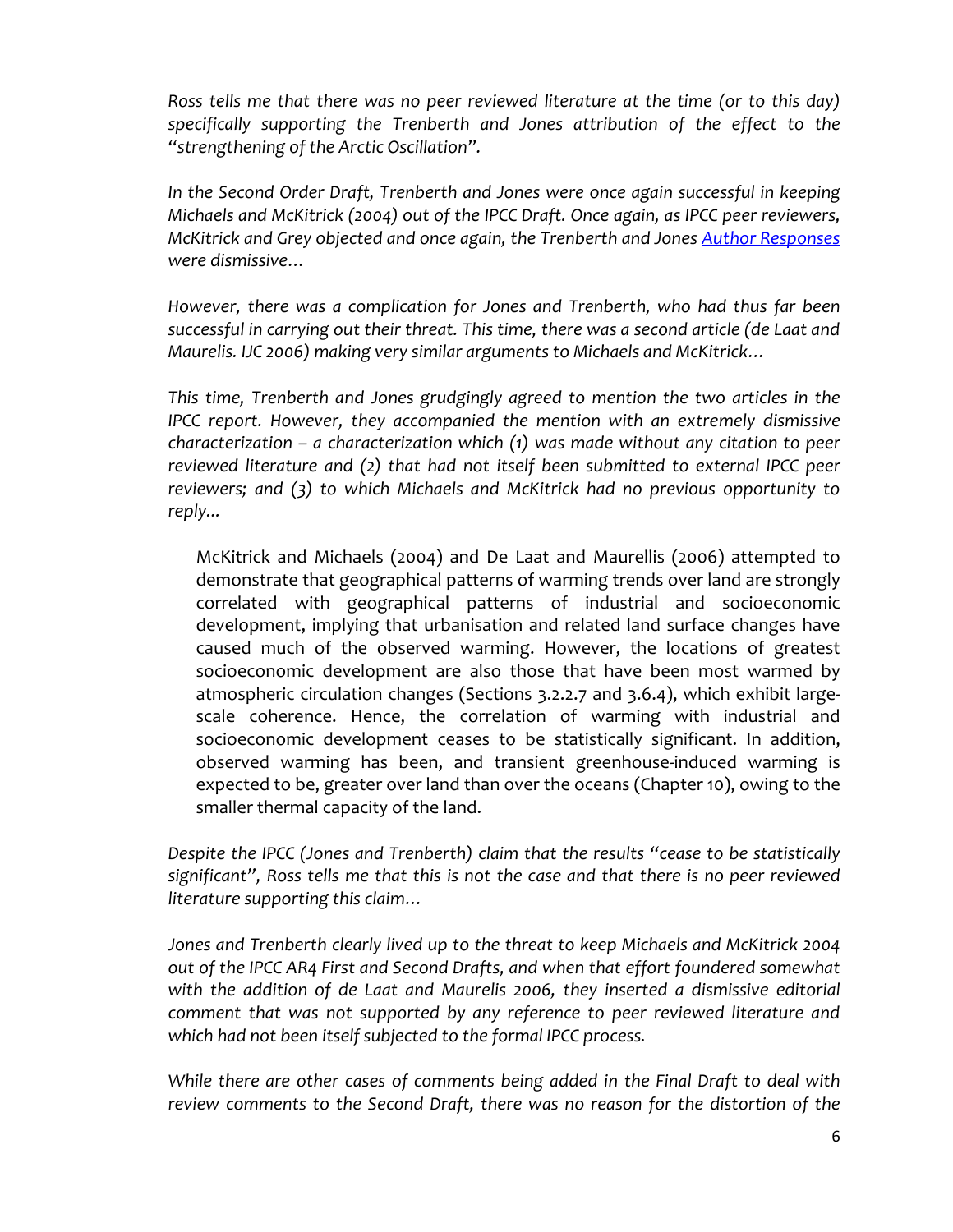*Ross tells me that there was no peer reviewed literature at the time (or to this day) specifically supporting the Trenberth and Jones attribution of the effect to the "strengthening of the Arctic Oscillation".* 

In the Second Order Draft, Trenberth and Jones were once again successful in keeping *Michaels and McKitrick (2004) out of the IPCC Draft. Once again, as IPCC peer reviewers, McKitrick and Grey objected and once again, the Trenberth and Jones [Author Responses](http://www.climateaudit.info/pdf/ipcc/sod/AR4WG1_Ch03_SOR_CommentResponses_EDist.pdf)  were dismissive…* 

*However, there was a complication for Jones and Trenberth, who had thus far been successful in carrying out their threat. This time, there was a second article (de Laat and Maurelis. IJC 2006) making very similar arguments to Michaels and McKitrick…* 

*This time, Trenberth and Jones grudgingly agreed to mention the two articles in the IPCC report. However, they accompanied the mention with an extremely dismissive characterization – a characterization which (1) was made without any citation to peer reviewed literature and (2) that had not itself been submitted to external IPCC peer reviewers; and (3) to which Michaels and McKitrick had no previous opportunity to reply...*

McKitrick and Michaels (2004) and De Laat and Maurellis (2006) attempted to demonstrate that geographical patterns of warming trends over land are strongly correlated with geographical patterns of industrial and socioeconomic development, implying that urbanisation and related land surface changes have caused much of the observed warming. However, the locations of greatest socioeconomic development are also those that have been most warmed by atmospheric circulation changes (Sections 3.2.2.7 and 3.6.4), which exhibit largescale coherence. Hence, the correlation of warming with industrial and socioeconomic development ceases to be statistically significant. In addition, observed warming has been, and transient greenhouse-induced warming is expected to be, greater over land than over the oceans (Chapter 10), owing to the smaller thermal capacity of the land.

*Despite the IPCC (Jones and Trenberth) claim that the results "cease to be statistically significant", Ross tells me that this is not the case and that there is no peer reviewed literature supporting this claim…* 

*Jones and Trenberth clearly lived up to the threat to keep Michaels and McKitrick 2004 out of the IPCC AR4 First and Second Drafts, and when that effort foundered somewhat with the addition of de Laat and Maurelis 2006, they inserted a dismissive editorial comment that was not supported by any reference to peer reviewed literature and which had not been itself subjected to the formal IPCC process.* 

*While there are other cases of comments being added in the Final Draft to deal with review comments to the Second Draft, there was no reason for the distortion of the*